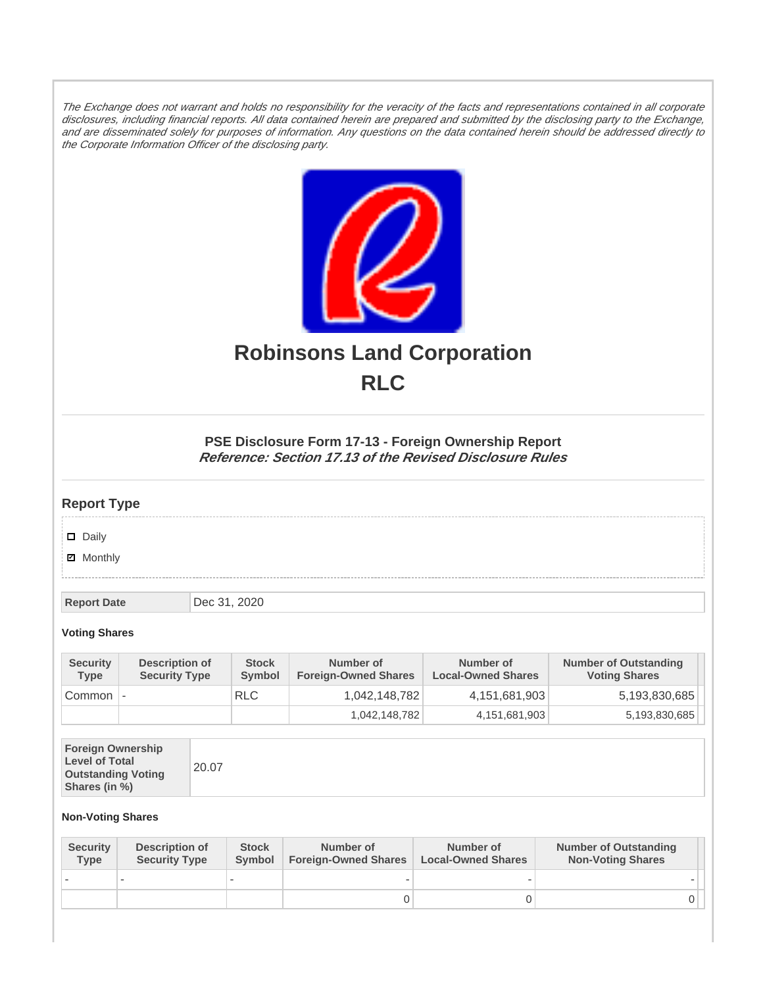The Exchange does not warrant and holds no responsibility for the veracity of the facts and representations contained in all corporate disclosures, including financial reports. All data contained herein are prepared and submitted by the disclosing party to the Exchange, and are disseminated solely for purposes of information. Any questions on the data contained herein should be addressed directly to the Corporate Information Officer of the disclosing party.



# **Robinsons Land Corporation RLC**

## **PSE Disclosure Form 17-13 - Foreign Ownership Report Reference: Section 17.13 of the Revised Disclosure Rules**

# **Report Type**

Daily

**Ø** Monthly

**Report Date Dec 31, 2020** 

### **Voting Shares**

| <b>Security</b><br><b>Type</b> | Description of<br><b>Security Type</b> | <b>Stock</b><br>Symbol | Number of<br><b>Foreign-Owned Shares</b> | Number of<br><b>Local-Owned Shares</b> | <b>Number of Outstanding</b><br><b>Voting Shares</b> |
|--------------------------------|----------------------------------------|------------------------|------------------------------------------|----------------------------------------|------------------------------------------------------|
| Common                         |                                        | <b>RLC</b>             | 1,042,148,782                            | 4,151,681,903                          | 5,193,830,685                                        |
|                                |                                        |                        | 1,042,148,782                            | 4,151,681,903                          | 5,193,830,685                                        |

| <b>Foreign Ownership</b><br><b>Level of Total</b><br><b>Outstanding Voting</b><br>Shares (in %) |
|-------------------------------------------------------------------------------------------------|
|-------------------------------------------------------------------------------------------------|

#### **Non-Voting Shares**

| <b>Security</b><br><b>Type</b> | Description of<br><b>Security Type</b> | <b>Stock</b><br>Symbol | Number of<br><b>Foreign-Owned Shares</b> | Number of<br><b>Local-Owned Shares</b> | <b>Number of Outstanding</b><br><b>Non-Voting Shares</b> |
|--------------------------------|----------------------------------------|------------------------|------------------------------------------|----------------------------------------|----------------------------------------------------------|
|                                |                                        |                        |                                          |                                        |                                                          |
|                                |                                        |                        |                                          |                                        | 0 I                                                      |